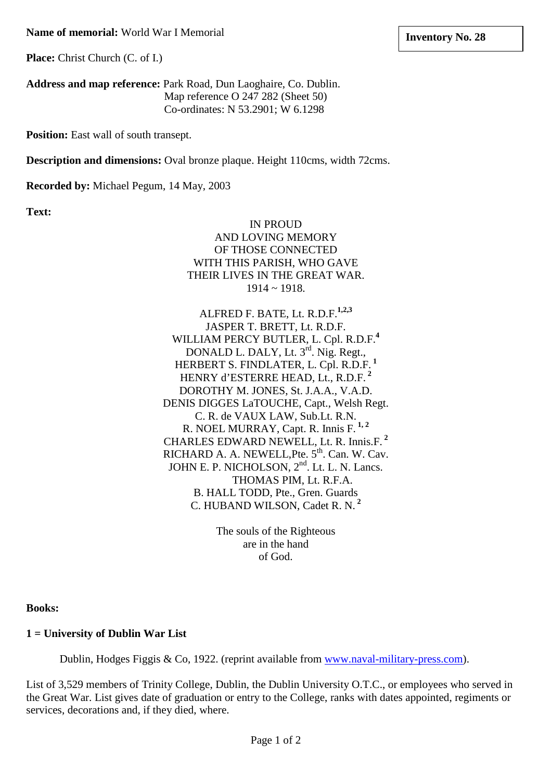**Place:** Christ Church (C. of I.)

**Address and map reference:** Park Road, Dun Laoghaire, Co. Dublin. Map reference O 247 282 (Sheet 50) Co-ordinates: N 53.2901; W 6.1298

**Position:** East wall of south transept.

**Description and dimensions:** Oval bronze plaque. Height 110cms, width 72cms.

**Recorded by:** Michael Pegum, 14 May, 2003

**Text:**

IN PROUD AND LOVING MEMORY OF THOSE CONNECTED WITH THIS PARISH, WHO GAVE THEIR LIVES IN THE GREAT WAR. 1914 ~ 1918.

ALFRED F. BATE, Lt. R.D.F.**1,2,3** JASPER T. BRETT, Lt. R.D.F. WILLIAM PERCY BUTLER, L. Cpl. R.D.F.**<sup>4</sup>** DONALD L. DALY, Lt. 3<sup>rd</sup>. Nig. Regt., HERBERT S. FINDLATER, L. Cpl. R.D.F. **<sup>1</sup>** HENRY d'ESTERRE HEAD, Lt., R.D.F. **<sup>2</sup>** DOROTHY M. JONES, St. J.A.A., V.A.D. DENIS DIGGES LaTOUCHE, Capt., Welsh Regt. C. R. de VAUX LAW, Sub.Lt. R.N. R. NOEL MURRAY, Capt. R. Innis F. **1, 2** CHARLES EDWARD NEWELL, Lt. R. Innis.F. **<sup>2</sup>** RICHARD A. A. NEWELL, Pte. 5<sup>th</sup>. Can. W. Cav. JOHN E. P. NICHOLSON, 2<sup>nd</sup>. Lt. L. N. Lancs. THOMAS PIM, Lt. R.F.A. B. HALL TODD, Pte., Gren. Guards C. HUBAND WILSON, Cadet R. N. **<sup>2</sup>**

> The souls of the Righteous are in the hand of God.

**Books:**

**1 = University of Dublin War List**

Dublin, Hodges Figgis & Co, 1922. (reprint available from [www.naval-military-press.com\)](http://www.naval-military-press.com/).

List of 3,529 members of Trinity College, Dublin, the Dublin University O.T.C., or employees who served in the Great War. List gives date of graduation or entry to the College, ranks with dates appointed, regiments or services, decorations and, if they died, where.